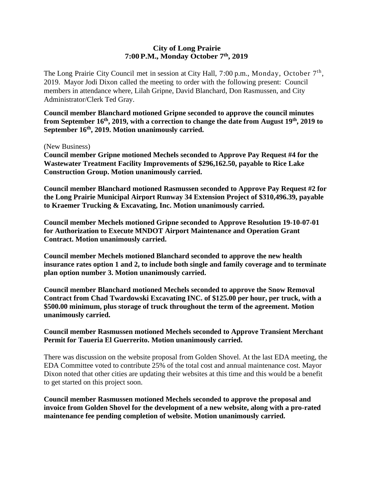## **City of Long Prairie 7:00P.M., Monday October 7th, 2019**

The Long Prairie City Council met in session at City Hall, 7:00 p.m., Monday, October 7<sup>th</sup>, 2019. Mayor Jodi Dixon called the meeting to order with the following present: Council members in attendance where, Lilah Gripne, David Blanchard, Don Rasmussen, and City Administrator/Clerk Ted Gray.

**Council member Blanchard motioned Gripne seconded to approve the council minutes from September 16th, 2019, with a correction to change the date from August 19th, 2019 to September 16th, 2019. Motion unanimously carried.** 

(New Business)

**Council member Gripne motioned Mechels seconded to Approve Pay Request #4 for the Wastewater Treatment Facility Improvements of \$296,162.50, payable to Rice Lake Construction Group. Motion unanimously carried.**

**Council member Blanchard motioned Rasmussen seconded to Approve Pay Request #2 for the Long Prairie Municipal Airport Runway 34 Extension Project of \$310,496.39, payable to Kraemer Trucking & Excavating, Inc. Motion unanimously carried.**

**Council member Mechels motioned Gripne seconded to Approve Resolution 19-10-07-01 for Authorization to Execute MNDOT Airport Maintenance and Operation Grant Contract. Motion unanimously carried.**

**Council member Mechels motioned Blanchard seconded to approve the new health insurance rates option 1 and 2, to include both single and family coverage and to terminate plan option number 3. Motion unanimously carried.**

**Council member Blanchard motioned Mechels seconded to approve the Snow Removal Contract from Chad Twardowski Excavating INC. of \$125.00 per hour, per truck, with a \$500.00 minimum, plus storage of truck throughout the term of the agreement. Motion unanimously carried.**

## **Council member Rasmussen motioned Mechels seconded to Approve Transient Merchant Permit for Taueria El Guerrerito. Motion unanimously carried.**

There was discussion on the website proposal from Golden Shovel. At the last EDA meeting, the EDA Committee voted to contribute 25% of the total cost and annual maintenance cost. Mayor Dixon noted that other cities are updating their websites at this time and this would be a benefit to get started on this project soon.

**Council member Rasmussen motioned Mechels seconded to approve the proposal and invoice from Golden Shovel for the development of a new website, along with a pro-rated maintenance fee pending completion of website. Motion unanimously carried.**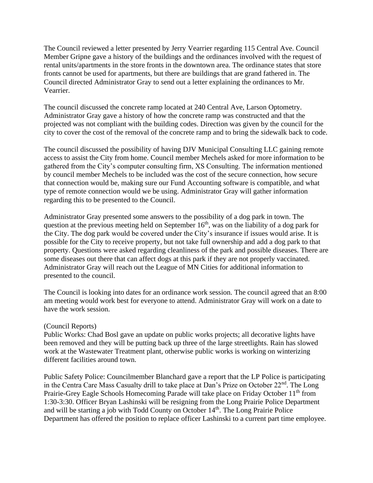The Council reviewed a letter presented by Jerry Vearrier regarding 115 Central Ave. Council Member Gripne gave a history of the buildings and the ordinances involved with the request of rental units/apartments in the store fronts in the downtown area. The ordinance states that store fronts cannot be used for apartments, but there are buildings that are grand fathered in. The Council directed Administrator Gray to send out a letter explaining the ordinances to Mr. Vearrier.

The council discussed the concrete ramp located at 240 Central Ave, Larson Optometry. Administrator Gray gave a history of how the concrete ramp was constructed and that the projected was not compliant with the building codes. Direction was given by the council for the city to cover the cost of the removal of the concrete ramp and to bring the sidewalk back to code.

The council discussed the possibility of having DJV Municipal Consulting LLC gaining remote access to assist the City from home. Council member Mechels asked for more information to be gathered from the City's computer consulting firm, XS Consulting. The information mentioned by council member Mechels to be included was the cost of the secure connection, how secure that connection would be, making sure our Fund Accounting software is compatible, and what type of remote connection would we be using. Administrator Gray will gather information regarding this to be presented to the Council.

Administrator Gray presented some answers to the possibility of a dog park in town. The question at the previous meeting held on September  $16<sup>th</sup>$ , was on the liability of a dog park for the City. The dog park would be covered under the City's insurance if issues would arise. It is possible for the City to receive property, but not take full ownership and add a dog park to that property. Questions were asked regarding cleanliness of the park and possible diseases. There are some diseases out there that can affect dogs at this park if they are not properly vaccinated. Administrator Gray will reach out the League of MN Cities for additional information to presented to the council.

The Council is looking into dates for an ordinance work session. The council agreed that an 8:00 am meeting would work best for everyone to attend. Administrator Gray will work on a date to have the work session.

## (Council Reports)

Public Works: Chad Bosl gave an update on public works projects; all decorative lights have been removed and they will be putting back up three of the large streetlights. Rain has slowed work at the Wastewater Treatment plant, otherwise public works is working on winterizing different facilities around town.

Public Safety Police: Councilmember Blanchard gave a report that the LP Police is participating in the Centra Care Mass Casualty drill to take place at Dan's Prize on October 22<sup>nd</sup>. The Long Prairie-Grey Eagle Schools Homecoming Parade will take place on Friday October 11<sup>th</sup> from 1:30-3:30. Officer Bryan Lashinski will be resigning from the Long Prairie Police Department and will be starting a job with Todd County on October 14th. The Long Prairie Police Department has offered the position to replace officer Lashinski to a current part time employee.